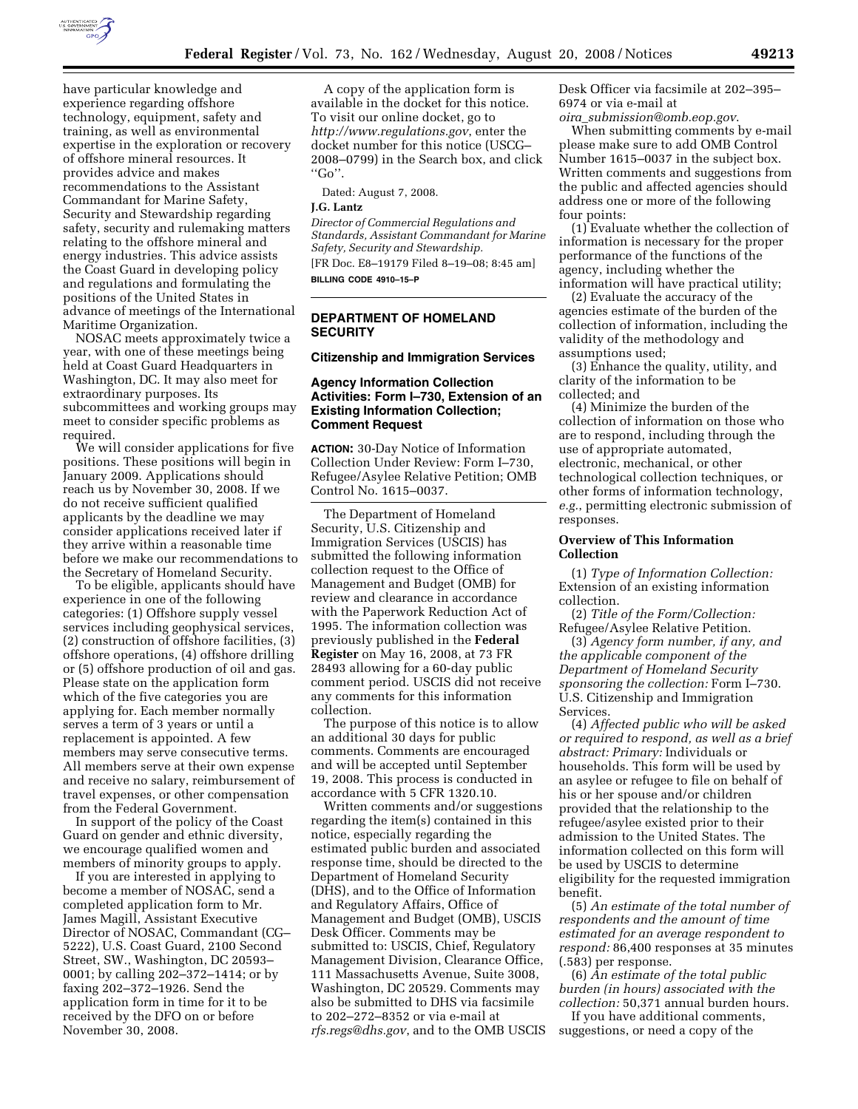

have particular knowledge and experience regarding offshore technology, equipment, safety and training, as well as environmental expertise in the exploration or recovery of offshore mineral resources. It provides advice and makes recommendations to the Assistant Commandant for Marine Safety, Security and Stewardship regarding safety, security and rulemaking matters relating to the offshore mineral and energy industries. This advice assists the Coast Guard in developing policy and regulations and formulating the positions of the United States in advance of meetings of the International Maritime Organization.

NOSAC meets approximately twice a year, with one of these meetings being held at Coast Guard Headquarters in Washington, DC. It may also meet for extraordinary purposes. Its subcommittees and working groups may meet to consider specific problems as required.

We will consider applications for five positions. These positions will begin in January 2009. Applications should reach us by November 30, 2008. If we do not receive sufficient qualified applicants by the deadline we may consider applications received later if they arrive within a reasonable time before we make our recommendations to the Secretary of Homeland Security.

To be eligible, applicants should have experience in one of the following categories: (1) Offshore supply vessel services including geophysical services, (2) construction of offshore facilities, (3) offshore operations, (4) offshore drilling or (5) offshore production of oil and gas. Please state on the application form which of the five categories you are applying for. Each member normally serves a term of 3 years or until a replacement is appointed. A few members may serve consecutive terms. All members serve at their own expense and receive no salary, reimbursement of travel expenses, or other compensation from the Federal Government.

In support of the policy of the Coast Guard on gender and ethnic diversity, we encourage qualified women and members of minority groups to apply.

If you are interested in applying to become a member of NOSAC, send a completed application form to Mr. James Magill, Assistant Executive Director of NOSAC, Commandant (CG– 5222), U.S. Coast Guard, 2100 Second Street, SW., Washington, DC 20593– 0001; by calling 202–372–1414; or by faxing 202–372–1926. Send the application form in time for it to be received by the DFO on or before November 30, 2008.

A copy of the application form is available in the docket for this notice. To visit our online docket, go to *http://www.regulations.gov*, enter the docket number for this notice (USCG– 2008–0799) in the Search box, and click  $"Go"$ 

Dated: August 7, 2008.

# **J.G. Lantz**

*Director of Commercial Regulations and Standards, Assistant Commandant for Marine Safety, Security and Stewardship.*  [FR Doc. E8–19179 Filed 8–19–08; 8:45 am] **BILLING CODE 4910–15–P** 

# **DEPARTMENT OF HOMELAND SECURITY**

#### **Citizenship and Immigration Services**

## **Agency Information Collection Activities: Form I–730, Extension of an Existing Information Collection; Comment Request**

**ACTION:** 30-Day Notice of Information Collection Under Review: Form I–730, Refugee/Asylee Relative Petition; OMB Control No. 1615–0037.

The Department of Homeland Security, U.S. Citizenship and Immigration Services (USCIS) has submitted the following information collection request to the Office of Management and Budget (OMB) for review and clearance in accordance with the Paperwork Reduction Act of 1995. The information collection was previously published in the **Federal Register** on May 16, 2008, at 73 FR 28493 allowing for a 60-day public comment period. USCIS did not receive any comments for this information collection.

The purpose of this notice is to allow an additional 30 days for public comments. Comments are encouraged and will be accepted until September 19, 2008. This process is conducted in accordance with 5 CFR 1320.10.

Written comments and/or suggestions regarding the item(s) contained in this notice, especially regarding the estimated public burden and associated response time, should be directed to the Department of Homeland Security (DHS), and to the Office of Information and Regulatory Affairs, Office of Management and Budget (OMB), USCIS Desk Officer. Comments may be submitted to: USCIS, Chief, Regulatory Management Division, Clearance Office, 111 Massachusetts Avenue, Suite 3008, Washington, DC 20529. Comments may also be submitted to DHS via facsimile to 202–272–8352 or via e-mail at *rfs.regs@dhs.gov*, and to the OMB USCIS Desk Officer via facsimile at 202–395– 6974 or via e-mail at *oira*\_*submission@omb.eop.gov*.

When submitting comments by e-mail please make sure to add OMB Control Number 1615–0037 in the subject box. Written comments and suggestions from the public and affected agencies should address one or more of the following four points:

(1) Evaluate whether the collection of information is necessary for the proper performance of the functions of the agency, including whether the information will have practical utility;

(2) Evaluate the accuracy of the agencies estimate of the burden of the collection of information, including the validity of the methodology and assumptions used;

(3) Enhance the quality, utility, and clarity of the information to be collected; and

(4) Minimize the burden of the collection of information on those who are to respond, including through the use of appropriate automated, electronic, mechanical, or other technological collection techniques, or other forms of information technology, *e.g.*, permitting electronic submission of responses.

# **Overview of This Information Collection**

(1) *Type of Information Collection:*  Extension of an existing information collection.

(2) *Title of the Form/Collection:*  Refugee/Asylee Relative Petition.

(3) *Agency form number, if any, and the applicable component of the Department of Homeland Security sponsoring the collection:* Form I–730. U.S. Citizenship and Immigration Services.

(4) *Affected public who will be asked or required to respond, as well as a brief abstract: Primary:* Individuals or households. This form will be used by an asylee or refugee to file on behalf of his or her spouse and/or children provided that the relationship to the refugee/asylee existed prior to their admission to the United States. The information collected on this form will be used by USCIS to determine eligibility for the requested immigration benefit.

(5) *An estimate of the total number of respondents and the amount of time estimated for an average respondent to respond:* 86,400 responses at 35 minutes (.583) per response.

(6) *An estimate of the total public burden (in hours) associated with the collection:* 50,371 annual burden hours.

If you have additional comments, suggestions, or need a copy of the